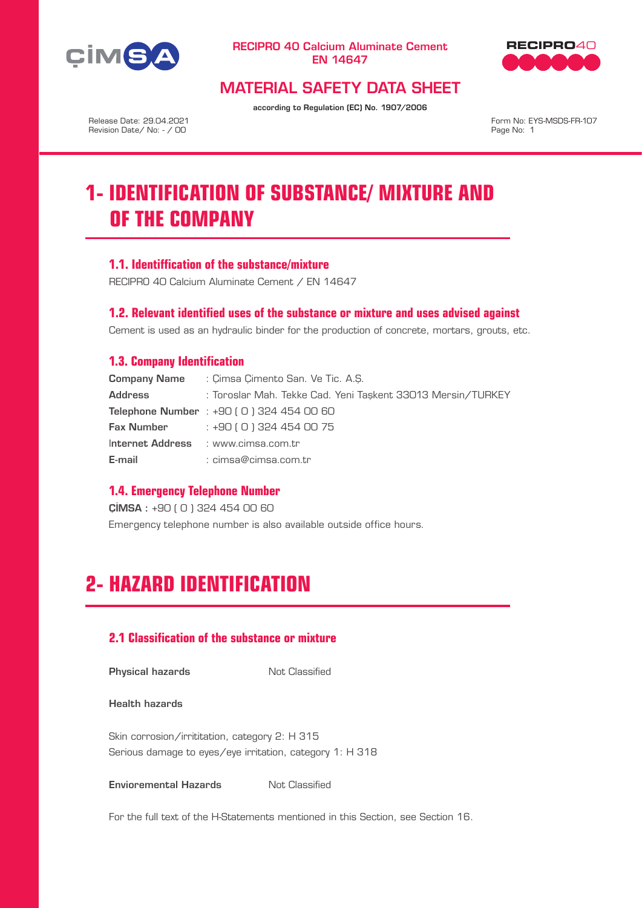



### MATERIAL SAFETY DATA SHEET

according to Regulation (EC) No. 1907/2006

Release Date: 29.04.2021 Revision Date/ No: - / 00

Form No: EYS-MSDS-FR-107 Page No: 1

# **1- IDENTIFICATION OF SUBSTANCE/ MIXTURE AND OF THE COMPANY**

#### **1.1. Identiffication of the substance/mixture**

RECIPRO 40 Calcium Aluminate Cement / EN 14647

#### **1.2. Relevant identified uses of the substance or mixture and uses advised against**

Cement is used as an hydraulic binder for the production of concrete, mortars, grouts, etc.

#### **1.3. Company Identification**

|                                     | <b>Company Name</b> : Cimsa Cimento San, Ve Tic, A.S.       |
|-------------------------------------|-------------------------------------------------------------|
| <b>Address</b>                      | : Toroslar Mah, Tekke Cad, Yeni Taskent 33013 Mersin/TURKEY |
|                                     | <b>Telephone Number</b> : $+90$ (0) 324 454 00 60           |
| Fax Number                          | : +90 ( 0 ) 324 454 00 75                                   |
| Internet Address : www.cimsa.com.tr |                                                             |
| E-mail                              | : cimsa@cimsa.com.tr                                        |

#### **1.4. Emergency Telephone Number**

ÇİMSA : +90 ( 0 ) 324 454 00 60 Emergency telephone number is also available outside office hours.

# **2- HAZARD IDENTIFICATION**

### **2.1 Classification of the substance or mixture**

**Physical hazards** Not Classified

Health hazards

Skin corrosion/irrititation, category 2: H 315 Serious damage to eyes/eye irritation, category 1: H 318

**Envioremental Hazards** Not Classified

For the full text of the H-Statements mentioned in this Section, see Section 16.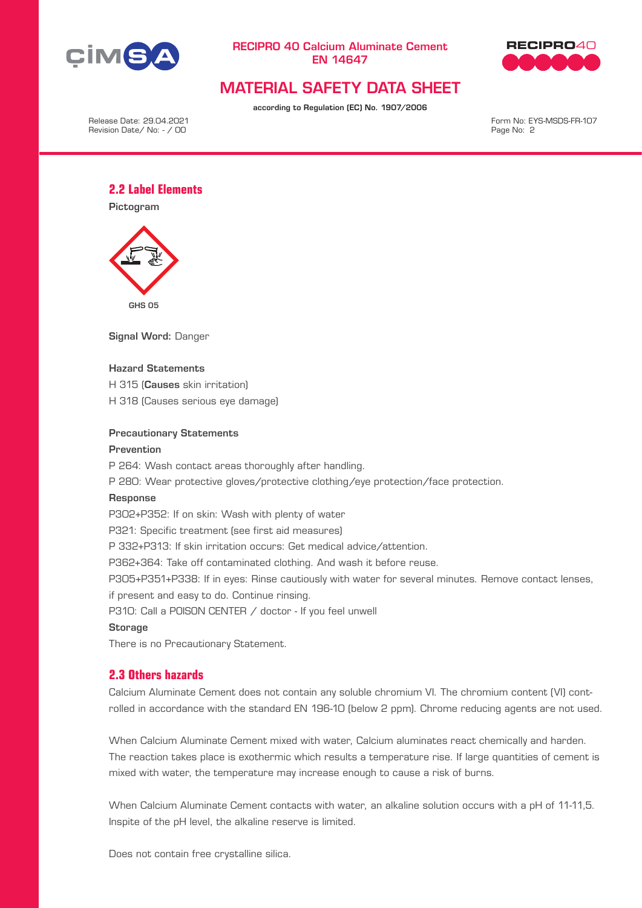



### MATERIAL SAFETY DATA SHEET

according to Regulation (EC) No. 1907/2006

Release Date: 29.04.2021 Revision Date/ No: - / 00

Form No: EYS-MSDS-FR-107 Page No: 2

#### **2.2 Label Elements**

Pictogram



Signal Word: Danger

#### Hazard Statements

H 315 (Causes skin irritation)

H 318 (Causes serious eye damage)

#### Precautionary Statements

#### Prevention

P 264: Wash contact areas thoroughly after handling.

P 280: Wear protective gloves/protective clothing/eye protection/face protection.

#### Response

P302+P352: If on skin: Wash with plenty of water P321: Specific treatment (see first aid measures) P 332+P313: If skin irritation occurs: Get medical advice/attention.

P362+364: Take off contaminated clothing. And wash it before reuse.

P305+P351+P338: If in eyes: Rinse cautiously with water for several minutes. Remove contact lenses,

if present and easy to do. Continue rinsing.

P310: Call a POISON CENTER / doctor - If you feel unwell

#### **Storage**

There is no Precautionary Statement.

#### **2.3 Others hazards**

Calcium Aluminate Cement does not contain any soluble chromium VI. The chromium content (VI) controlled in accordance with the standard EN 196-10 (below 2 ppm). Chrome reducing agents are not used.

When Calcium Aluminate Cement mixed with water, Calcium aluminates react chemically and harden. The reaction takes place is exothermic which results a temperature rise. If large quantities of cement is mixed with water, the temperature may increase enough to cause a risk of burns.

When Calcium Aluminate Cement contacts with water, an alkaline solution occurs with a pH of 11-11,5. Inspite of the pH level, the alkaline reserve is limited.

Does not contain free crystalline silica.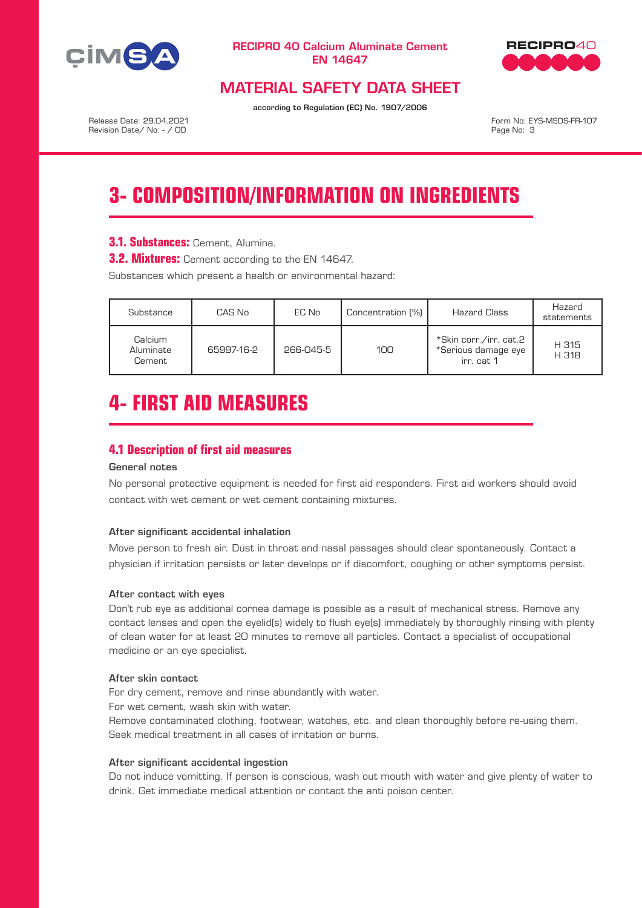



### MATERIAL SAFETY DATA SHEET

according to Regulation (EC) No. 1907/2006

Release Date: 29.04.2021 Revision Date/ No: - / 00

Form No: EYS-MSDS-FR-107 Page No: 3

# **3- COMPOSITION/INFORMATION ON INGREDIENTS**

**3.1. Substances: Cement, Alumina.** 

**3.2. Mixtures:** Cement according to the EN 14647.

Substances which present a health or environmental hazard:

| Substance                      | CAS No     | EC No     | Concentration [%] | Hazard Class                                                | Hazard<br>statements |
|--------------------------------|------------|-----------|-------------------|-------------------------------------------------------------|----------------------|
| Calcium<br>Aluminate<br>Cement | 65997-16-2 | 266-045-5 | 100               | *Skin corr./irr. cat.2<br>*Serious damage eye<br>irr. cat 1 | H 315<br>H 318       |

# **4- FIRST AID MEASURES**

#### **4.1 Description of first aid measures**

#### General notes

No personal protective equipment is needed for first aid responders. First aid workers should avoid contact with wet cement or wet cement containing mixtures.

#### After significant accidental inhalation

Move person to fresh air. Dust in throat and nasal passages should clear spontaneously. Contact a physician if irritation persists or later develops or if discomfort, coughing or other symptoms persist.

#### After contact with eyes

Don't rub eye as additional cornea damage is possible as a result of mechanical stress. Remove any contact lenses and open the eyelid(s) widely to flush eye(s) immediately by thoroughly rinsing with plenty of clean water for at least 20 minutes to remove all particles. Contact a specialist of occupational medicine or an eye specialist.

#### After skin contact

For dry cement, remove and rinse abundantly with water. For wet cement, wash skin with water.

Remove contaminated clothing, footwear, watches, etc. and clean thoroughly before re-using them. Seek medical treatment in all cases of irritation or burns.

#### After significant accidental ingestion

Do not induce vomitting. If person is conscious, wash out mouth with water and give plenty of water to drink. Get immediate medical attention or contact the anti poison center.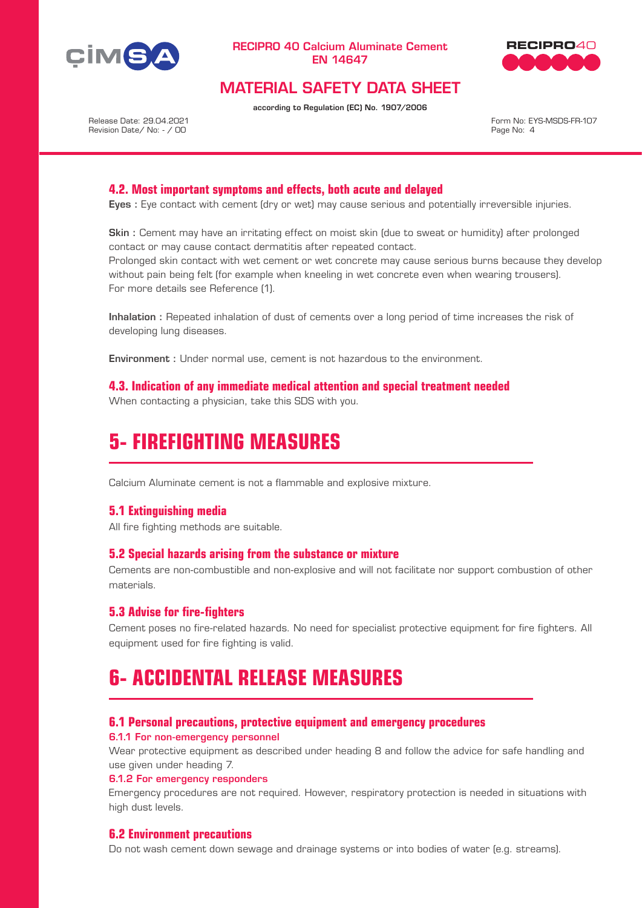



### MATERIAL SAFETY DATA SHEET

according to Regulation (EC) No. 1907/2006

Release Date: 29.04.2021 Revision Date/ No: - / 00

Form No: EYS-MSDS-FR-107 Page No: 4

#### **4.2. Most important symptoms and effects, both acute and delayed**

Eyes : Eye contact with cement (dry or wet) may cause serious and potentially irreversible injuries.

Skin : Cement may have an irritating effect on moist skin (due to sweat or humidity) after prolonged contact or may cause contact dermatitis after repeated contact.

Prolonged skin contact with wet cement or wet concrete may cause serious burns because they develop without pain being felt (for example when kneeling in wet concrete even when wearing trousers). For more details see Reference (1).

Inhalation : Repeated inhalation of dust of cements over a long period of time increases the risk of developing lung diseases.

Environment : Under normal use, cement is not hazardous to the environment.

**4.3. Indication of any immediate medical attention and special treatment needed** When contacting a physician, take this SDS with you.

# **5- FIREFIGHTING MEASURES**

Calcium Aluminate cement is not a flammable and explosive mixture.

#### **5.1 Extinguishing media**

All fire fighting methods are suitable.

#### **5.2 Special hazards arising from the substance or mixture**

Cements are non-combustible and non-explosive and will not facilitate nor support combustion of other materials.

#### **5.3 Advise for fire-fighters**

Cement poses no fire-related hazards. No need for specialist protective equipment for fire fighters. All equipment used for fire fighting is valid.

# **6- ACCIDENTAL RELEASE MEASURES**

#### **6.1 Personal precautions, protective equipment and emergency procedures**

6.1.1 For non-emergency personnel

Wear protective equipment as described under heading 8 and follow the advice for safe handling and use given under heading 7.

#### 6.1.2 For emergency responders

Emergency procedures are not required. However, respiratory protection is needed in situations with high dust levels.

#### **6.2 Environment precautions**

Do not wash cement down sewage and drainage systems or into bodies of water (e.g. streams).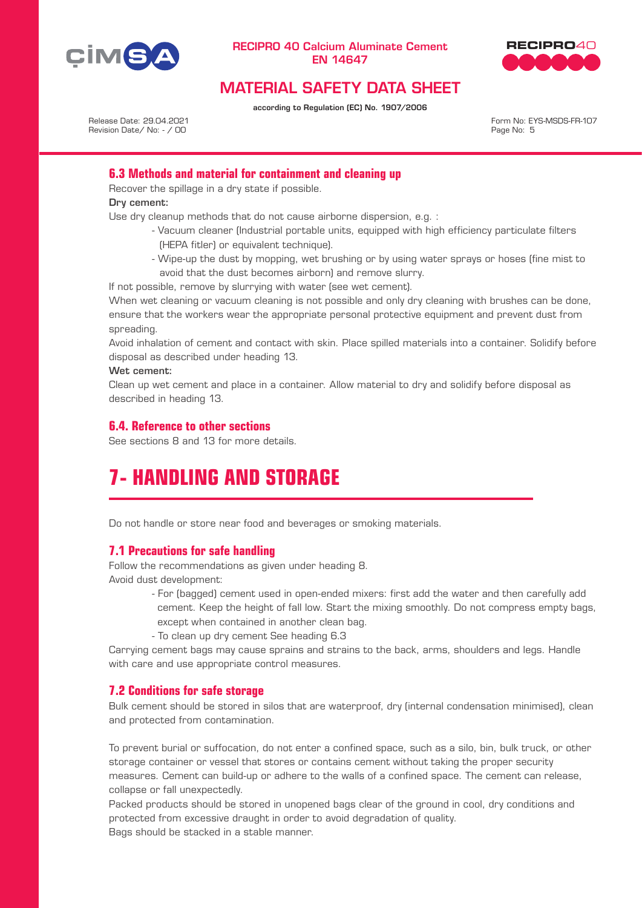



### MATERIAL SAFETY DATA SHEET

according to Regulation (EC) No. 1907/2006

Release Date: 29.04.2021 Revision Date/ No: - / 00 Form No: EYS-MSDS-FR-107 Page No: 5

#### **6.3 Methods and material for containment and cleaning up**

Recover the spillage in a dry state if possible.

Dry cement:

Use dry cleanup methods that do not cause airborne dispersion, e.g. :

- Vacuum cleaner (Industrial portable units, equipped with high efficiency particulate filters (HEPA fitler) or equivalent technique).
- Wipe-up the dust by mopping, wet brushing or by using water sprays or hoses (fine mist to avoid that the dust becomes airborn) and remove slurry.

If not possible, remove by slurrying with water (see wet cement).

When wet cleaning or vacuum cleaning is not possible and only dry cleaning with brushes can be done, ensure that the workers wear the appropriate personal protective equipment and prevent dust from spreading.

Avoid inhalation of cement and contact with skin. Place spilled materials into a container. Solidify before disposal as described under heading 13.

Wet cement:

Clean up wet cement and place in a container. Allow material to dry and solidify before disposal as described in heading 13.

#### **6.4. Reference to other sections**

See sections 8 and 13 for more details.

# **7- HANDLING AND STORAGE**

Do not handle or store near food and beverages or smoking materials.

#### **7.1 Precautions for safe handling**

Follow the recommendations as given under heading 8. Avoid dust development:

- For (bagged) cement used in open-ended mixers: first add the water and then carefully add cement. Keep the height of fall low. Start the mixing smoothly. Do not compress empty bags, except when contained in another clean bag.
- To clean up dry cement See heading 6.3

Carrying cement bags may cause sprains and strains to the back, arms, shoulders and legs. Handle with care and use appropriate control measures.

#### **7.2 Conditions for safe storage**

Bulk cement should be stored in silos that are waterproof, dry (internal condensation minimised), clean and protected from contamination.

To prevent burial or suffocation, do not enter a confined space, such as a silo, bin, bulk truck, or other storage container or vessel that stores or contains cement without taking the proper security measures. Cement can build-up or adhere to the walls of a confined space. The cement can release, collapse or fall unexpectedly.

Packed products should be stored in unopened bags clear of the ground in cool, dry conditions and protected from excessive draught in order to avoid degradation of quality. Bags should be stacked in a stable manner.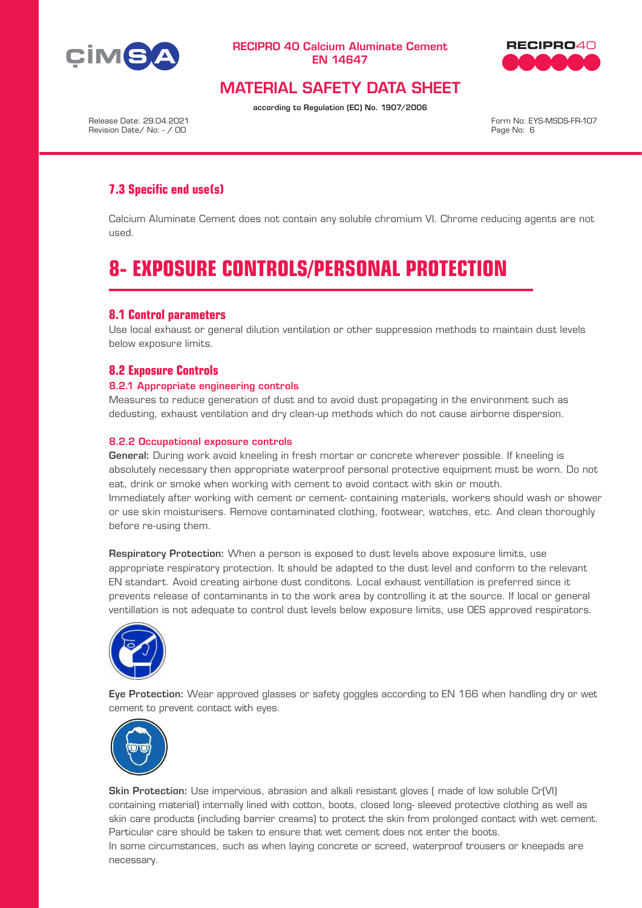



### MATERIAL SAFETY DATA SHEET

according to Regulation (EC) No. 1907/2006

Release Date: 29.04.2021 Revision Date/ No: - / 00

Form No: EYS-MSDS-FR-107 Page No: 6

### **7.3 Specific end use(s)**

Calcium Aluminate Cement does not contain any soluble chromium VI. Chrome reducing agents are not used.

# **8- EXPOSURE CONTROLS/PERSONAL PROTECTION**

#### **8.1 Control parameters**

Use local exhaust or general dilution ventilation or other suppression methods to maintain dust levels below exposure limits.

#### **8.2 Exposure Controls**

#### 8.2.1 Appropriate engineering controls

Measures to reduce generation of dust and to avoid dust propagating in the environment such as dedusting, exhaust ventilation and dry clean-up methods which do not cause airborne dispersion.

#### 8.2.2 Occupational exposure controls

General: During work avoid kneeling in fresh mortar or concrete wherever possible. If kneeling is absolutely necessary then appropriate waterproof personal protective equipment must be worn. Do not eat, drink or smoke when working with cement to avoid contact with skin or mouth. Immediately after working with cement or cement- containing materials, workers should wash or shower or use skin moisturisers. Remove contaminated clothing, footwear, watches, etc. And clean thoroughly before re-using them.

Respiratory Protection: When a person is exposed to dust levels above exposure limits, use appropriate respiratory protection. It should be adapted to the dust level and conform to the relevant EN standart. Avoid creating airbone dust conditons. Local exhaust ventillation is preferred since it prevents release of contaminants in to the work area by controlling it at the source. If local or general ventillation is not adequate to control dust levels below exposure limits, use OES approved respirators.



Eye Protection: Wear approved glasses or safety goggles according to EN 166 when handling dry or wet cement to prevent contact with eyes.



Skin Protection: Use impervious, abrasion and alkali resistant gloves ( made of low soluble Cr(VI) containing material) internally lined with cotton, boots, closed long- sleeved protective clothing as well as skin care products (including barrier creams) to protect the skin from prolonged contact with wet cement. Particular care should be taken to ensure that wet cement does not enter the boots.

In some circumstances, such as when laying concrete or screed, waterproof trousers or kneepads are necessary.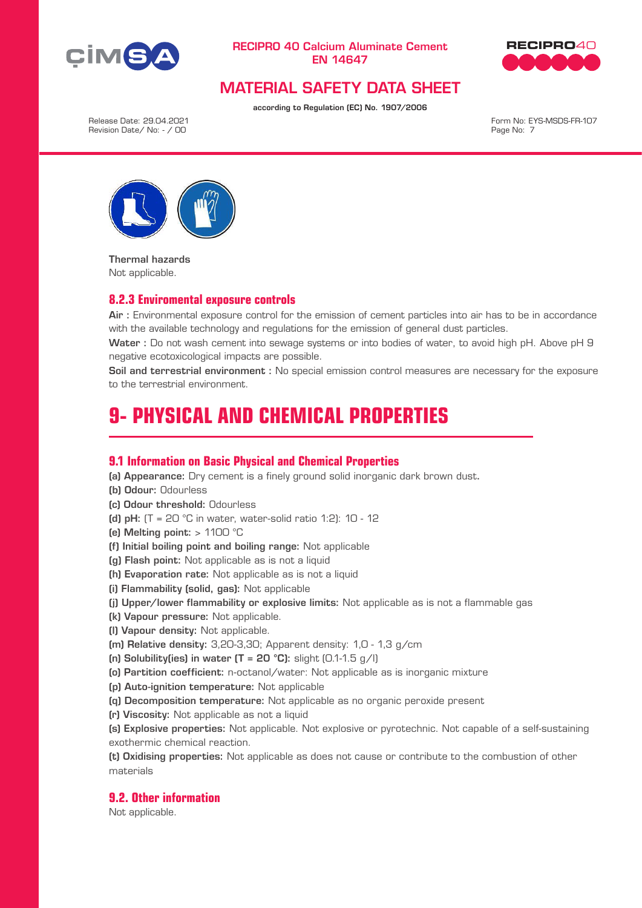



### MATERIAL SAFETY DATA SHEET

according to Regulation (EC) No. 1907/2006

Release Date: 29.04.2021 Revision Date/ No: - / 00

Form No: EYS-MSDS-FR-107 Page No: 7



Thermal hazards Not applicable.

#### **8.2.3 Enviromental exposure controls**

Air : Environmental exposure control for the emission of cement particles into air has to be in accordance with the available technology and regulations for the emission of general dust particles.

Water : Do not wash cement into sewage systems or into bodies of water, to avoid high pH. Above pH 9 negative ecotoxicological impacts are possible.

Soil and terrestrial environment : No special emission control measures are necessary for the exposure to the terrestrial environment.

# **9- PHYSICAL AND CHEMICAL PROPERTIES**

#### **9.1 Information on Basic Physical and Chemical Properties**

(a) Appearance: Dry cement is a finely ground solid inorganic dark brown dust.

- (b) Odour: Odourless
- (c) Odour threshold: Odourless
- (d) pH:  $(T = 20 °C)$  in water, water-solid ratio 1:2): 10 12
- (e) Melting point:  $> 1100$  °C

(f) Initial boiling point and boiling range: Not applicable

- (g) Flash point: Not applicable as is not a liquid
- (h) Evaporation rate: Not applicable as is not a liquid
- (i) Flammability (solid, gas): Not applicable
- (j) Upper/lower flammability or explosive limits: Not applicable as is not a flammable gas
- (k) Vapour pressure: Not applicable.
- (l) Vapour density: Not applicable.

(m) Relative density: 3,20-3,30; Apparent density: 1,0 - 1,3 g/cm

- (n) Solubility(ies) in water  $(T = 20 °C)$ : slight  $(0.1-1.5 g/l)$
- (o) Partition coefficient: n-octanol/water: Not applicable as is inorganic mixture
- (p) Auto-ignition temperature: Not applicable
- (q) Decomposition temperature: Not applicable as no organic peroxide present
- (r) Viscosity: Not applicable as not a liquid

(s) Explosive properties: Not applicable. Not explosive or pyrotechnic. Not capable of a self-sustaining exothermic chemical reaction.

(t) Oxidising properties: Not applicable as does not cause or contribute to the combustion of other materials

#### **9.2. Other information**

Not applicable.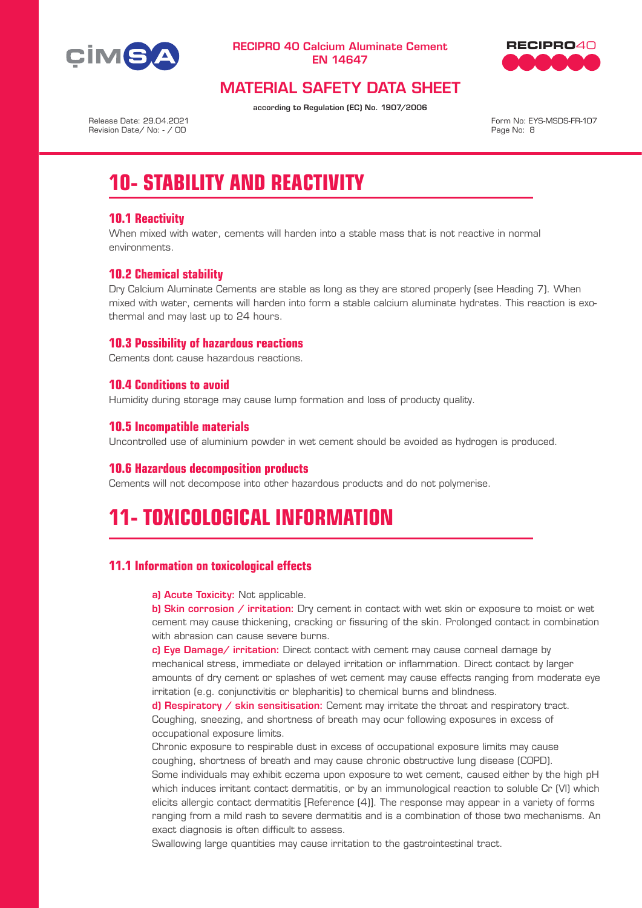



### MATERIAL SAFETY DATA SHEET

according to Regulation (EC) No. 1907/2006

Release Date: 29.04.2021 Revision Date/ No: - / 00

Form No: EYS-MSDS-FR-107 Page No: 8

# **10- STABILITY AND REACTIVITY**

#### **10.1 Reactivity**

When mixed with water, cements will harden into a stable mass that is not reactive in normal environments.

#### **10.2 Chemical stability**

Dry Calcium Aluminate Cements are stable as long as they are stored properly (see Heading 7). When mixed with water, cements will harden into form a stable calcium aluminate hydrates. This reaction is exothermal and may last up to 24 hours.

#### **10.3 Possibility of hazardous reactions**

Cements dont cause hazardous reactions.

#### **10.4 Conditions to avoid**

Humidity during storage may cause lump formation and loss of producty quality.

#### **10.5 Incompatible materials**

Uncontrolled use of aluminium powder in wet cement should be avoided as hydrogen is produced.

#### **10.6 Hazardous decomposition products**

Cements will not decompose into other hazardous products and do not polymerise.

# **11- TOXICOLOGICAL INFORMATION**

#### **11.1 Information on toxicological effects**

a) Acute Toxicity: Not applicable.

b) Skin corrosion / irritation: Dry cement in contact with wet skin or exposure to moist or wet cement may cause thickening, cracking or fissuring of the skin. Prolonged contact in combination with abrasion can cause severe burns.

c) Eye Damage/ irritation: Direct contact with cement may cause corneal damage by mechanical stress, immediate or delayed irritation or inflammation. Direct contact by larger amounts of dry cement or splashes of wet cement may cause effects ranging from moderate eye irritation (e.g. conjunctivitis or blepharitis) to chemical burns and blindness.

d) Respiratory / skin sensitisation: Cement may irritate the throat and respiratory tract. Coughing, sneezing, and shortness of breath may ocur following exposures in excess of occupational exposure limits.

Chronic exposure to respirable dust in excess of occupational exposure limits may cause coughing, shortness of breath and may cause chronic obstructive lung disease (COPD).

Some individuals may exhibit eczema upon exposure to wet cement, caused either by the high pH which induces irritant contact dermatitis, or by an immunological reaction to soluble Cr (VI) which elicits allergic contact dermatitis [Reference (4)]. The response may appear in a variety of forms ranging from a mild rash to severe dermatitis and is a combination of those two mechanisms. An exact diagnosis is often difficult to assess.

Swallowing large quantities may cause irritation to the gastrointestinal tract.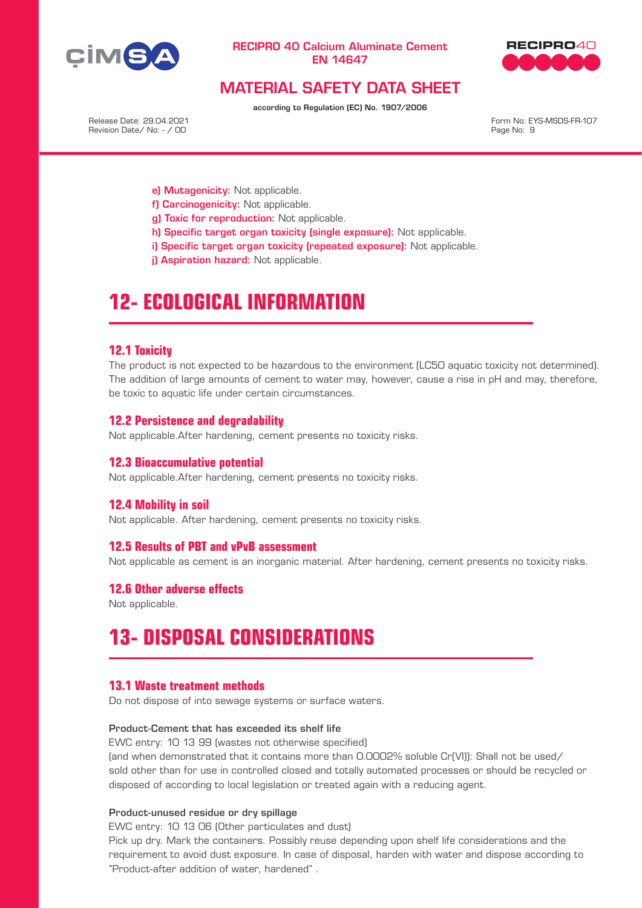

# **RECIPRO**40

### MATERIAL SAFETY DATA SHEET

according to Regulation (EC) No. 1907/2006

Release Date: 29.04.2021 Revision Date/ No: - / 00 Form No: EYS-MSDS-FR-107 Page No: 9

- e) Mutagenicity: Not applicable.
- f) Carcinogenicity: Not applicable.
- g) Toxic for reproduction: Not applicable.
- h) Specific target organ toxicity (single exposure): Not applicable.
- i) Specific target organ toxicity (repeated exposure): Not applicable.
- il Aspiration hazard: Not applicable.

### **12- ECOLOGICAL INFORMATION**

#### **12.1 Toxicity**

The product is not expected to be hazardous to the environment (LC50 aquatic toxicity not determined). The addition of large amounts of cement to water may, however, cause a rise in pH and may, therefore, be toxic to aquatic life under certain circumstances.

#### **12.2 Persistence and degradability**

Not applicable.After hardening, cement presents no toxicity risks.

#### **12.3 Bioaccumulative potential**

Not applicable.After hardening, cement presents no toxicity risks.

#### **12.4 Mobility in soil**

Not applicable. After hardening, cement presents no toxicity risks.

#### **12.5 Results of PBT and vPvB assessment**

Not applicable as cement is an inorganic material. After hardening, cement presents no toxicity risks.

#### **12.6 Other adverse effects**

Not applicable.

# **13- DISPOSAL CONSIDERATIONS**

#### **13.1 Waste treatment methods**

Do not dispose of into sewage systems or surface waters.

#### Product-Cement that has exceeded its shelf life

EWC entry: 10 13 99 (wastes not otherwise specified) (and when demonstrated that it contains more than 0.0002% soluble Cr(VI)): Shall not be used/

sold other than for use in controlled closed and totally automated processes or should be recycled or disposed of according to local legislation or treated again with a reducing agent.

#### Product-unused residue or dry spillage

EWC entry: 10 13 06 (Other particulates and dust)

Pick up dry. Mark the containers. Possibly reuse depending upon shelf life considerations and the requirement to avoid dust exposure. In case of disposal, harden with water and dispose according to "Product-after addition of water, hardened" .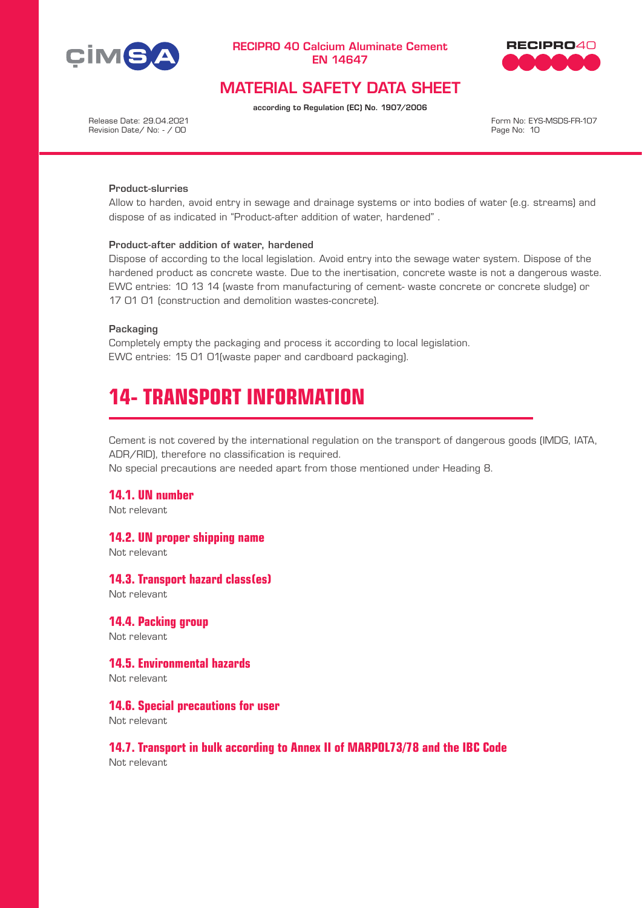



### MATERIAL SAFETY DATA SHEET

according to Regulation (EC) No. 1907/2006

Release Date: 29.04.2021 Revision Date/ No: - / 00 Form No: EYS-MSDS-FR-107 Page No: 10

#### Product-slurries

Allow to harden, avoid entry in sewage and drainage systems or into bodies of water (e.g. streams) and dispose of as indicated in "Product-after addition of water, hardened" .

#### Product-after addition of water, hardened

Dispose of according to the local legislation. Avoid entry into the sewage water system. Dispose of the hardened product as concrete waste. Due to the inertisation, concrete waste is not a dangerous waste. EWC entries: 10 13 14 (waste from manufacturing of cement- waste concrete or concrete sludge) or 17 01 01 (construction and demolition wastes-concrete).

#### Packaging

Completely empty the packaging and process it according to local legislation. EWC entries: 15 01 01(waste paper and cardboard packaging).

### **14- TRANSPORT INFORMATION**

Cement is not covered by the international regulation on the transport of dangerous goods (IMDG, IATA, ADR/RID), therefore no classification is required.

No special precautions are needed apart from those mentioned under Heading 8.

#### **14.1. UN number**

Not relevant

#### **14.2. UN proper shipping name**

Not relevant

#### **14.3. Transport hazard class(es)**

Not relevant

#### **14.4. Packing group**

Not relevant

#### **14.5. Environmental hazards**

Not relevant

#### **14.6. Special precautions for user**

Not relevant

#### **14.7. Transport in bulk according to Annex II of MARPOL73/78 and the IBC Code**

Not relevant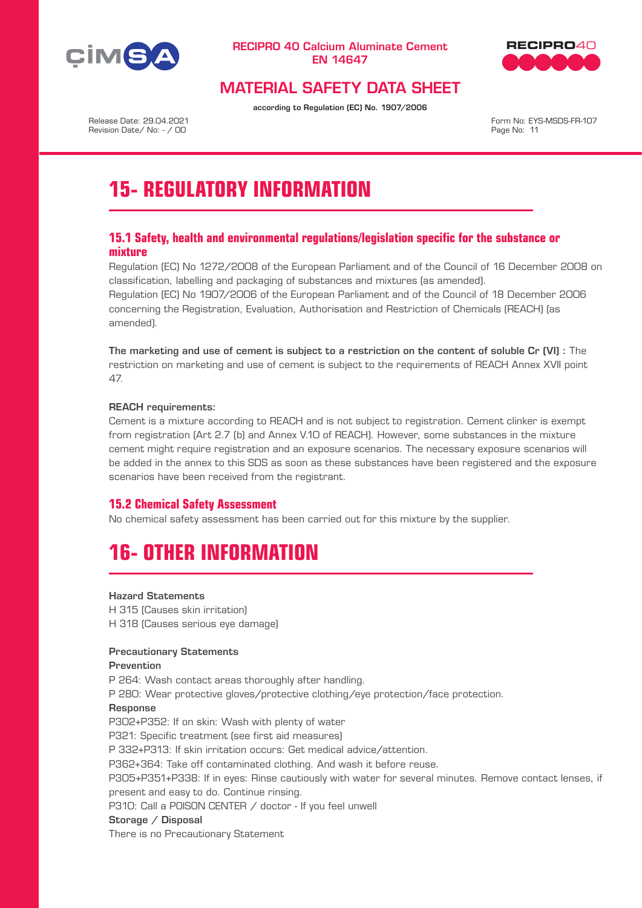



### MATERIAL SAFETY DATA SHEET

according to Regulation (EC) No. 1907/2006

Release Date: 29.04.2021 Revision Date/ No: - / 00

Form No: EYS-MSDS-FR-107 Page No: 11

# **15- REGULATORY INFORMATION**

#### **15.1 Safety, health and environmental regulations/legislation specific for the substance or mixture**

Regulation (EC) No 1272/2008 of the European Parliament and of the Council of 16 December 2008 on classification, labelling and packaging of substances and mixtures (as amended). Regulation (EC) No 1907/2006 of the European Parliament and of the Council of 18 December 2006 concerning the Registration, Evaluation, Authorisation and Restriction of Chemicals (REACH) (as amended).

The marketing and use of cement is subject to a restriction on the content of soluble Cr (VI) : The restriction on marketing and use of cement is subject to the requirements of REACH Annex XVII point 47.

#### REACH requirements:

Cement is a mixture according to REACH and is not subject to registration. Cement clinker is exempt from registration (Art 2.7 (b) and Annex V.10 of REACH). However, some substances in the mixture cement might require registration and an exposure scenarios. The necessary exposure scenarios will be added in the annex to this SDS as soon as these substances have been registered and the exposure scenarios have been received from the registrant.

#### **15.2 Chemical Safety Assessment**

No chemical safety assessment has been carried out for this mixture by the supplier.

# **16- OTHER INFORMATION**

#### Hazard Statements

H 315 (Causes skin irritation) H 318 (Causes serious eye damage)

#### Precautionary Statements

#### Prevention

P 264: Wash contact areas thoroughly after handling.

P 280: Wear protective gloves/protective clothing/eye protection/face protection.

#### Response

P302+P352: If on skin: Wash with plenty of water P321: Specific treatment (see first aid measures) P 332+P313: If skin irritation occurs: Get medical advice/attention. P362+364: Take off contaminated clothing. And wash it before reuse. P305+P351+P338: If in eyes: Rinse cautiously with water for several minutes. Remove contact lenses, if present and easy to do. Continue rinsing. P310: Call a P0ISON CENTER / doctor - If you feel unwell Storage / Disposal

There is no Precautionary Statement